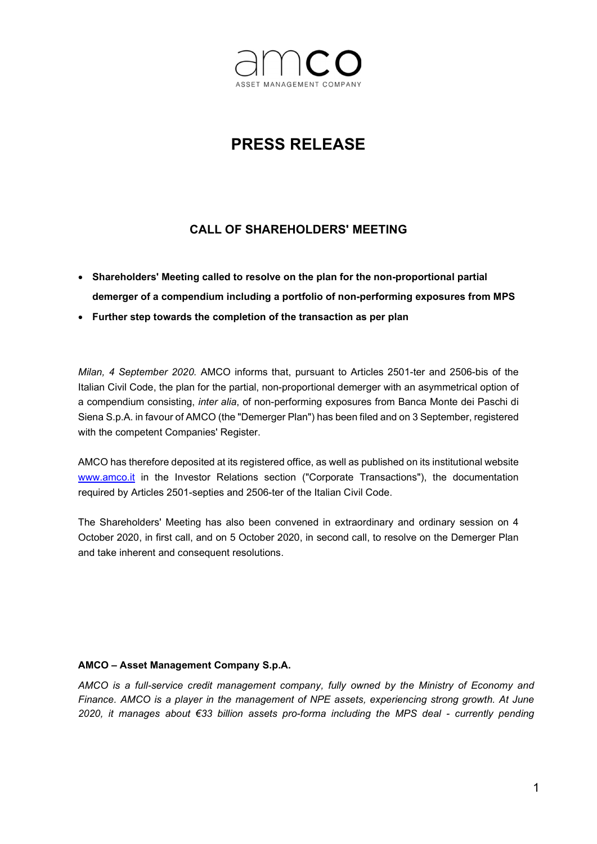

## PRESS RELEASE

## CALL OF SHAREHOLDERS' MEETING

- Shareholders' Meeting called to resolve on the plan for the non-proportional partial demerger of a compendium including a portfolio of non-performing exposures from MPS
- Further step towards the completion of the transaction as per plan

Milan, 4 September 2020. AMCO informs that, pursuant to Articles 2501-ter and 2506-bis of the Italian Civil Code, the plan for the partial, non-proportional demerger with an asymmetrical option of a compendium consisting, inter alia, of non-performing exposures from Banca Monte dei Paschi di Siena S.p.A. in favour of AMCO (the "Demerger Plan") has been filed and on 3 September, registered with the competent Companies' Register.

AMCO has therefore deposited at its registered office, as well as published on its institutional website www.amco.it in the Investor Relations section ("Corporate Transactions"), the documentation required by Articles 2501-septies and 2506-ter of the Italian Civil Code.

The Shareholders' Meeting has also been convened in extraordinary and ordinary session on 4 October 2020, in first call, and on 5 October 2020, in second call, to resolve on the Demerger Plan and take inherent and consequent resolutions.

## AMCO – Asset Management Company S.p.A.

AMCO is a full-service credit management company, fully owned by the Ministry of Economy and Finance. AMCO is a player in the management of NPE assets, experiencing strong growth. At June 2020, it manages about €33 billion assets pro-forma including the MPS deal - currently pending